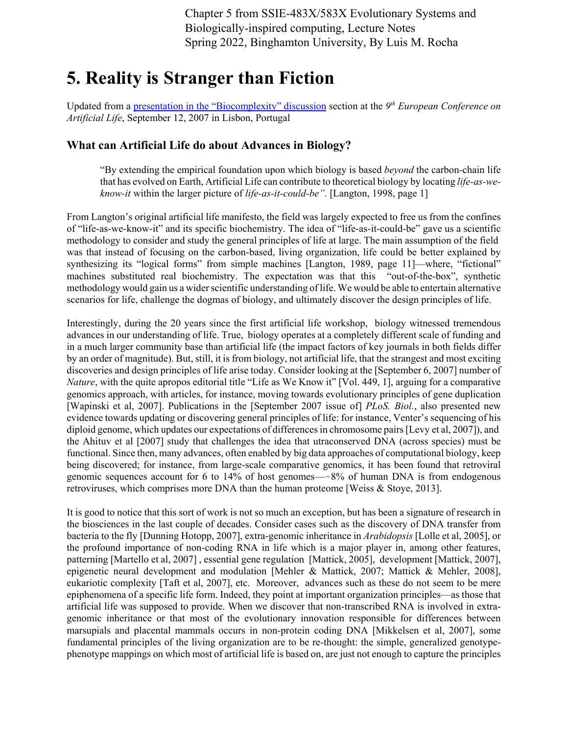Chapter 5 from SSIE-483X/583X Evolutionary Systems and Biologically-inspired computing, Lecture Notes Spring 2022, Binghamton University, By Luis M. Rocha

# **5. Reality is Stranger than Fiction**

Updated from a presentation in the "Biocomplexity" discussion section at the *9th European Conference on Artificial Life*, September 12, 2007 in Lisbon, Portugal

#### **What can Artificial Life do about Advances in Biology?**

"By extending the empirical foundation upon which biology is based *beyond* the carbon-chain life that has evolved on Earth, Artificial Life can contribute to theoretical biology by locating *life-as-weknow-it* within the larger picture of *life-as-it-could-be".* [Langton, 1998, page 1]

From Langton's original artificial life manifesto, the field was largely expected to free us from the confines of "life-as-we-know-it" and its specific biochemistry. The idea of "life-as-it-could-be" gave us a scientific methodology to consider and study the general principles of life at large. The main assumption of the field was that instead of focusing on the carbon-based, living organization, life could be better explained by synthesizing its "logical forms" from simple machines [Langton, 1989, page 11]—where, "fictional" machines substituted real biochemistry. The expectation was that this "out-of-the-box", synthetic methodology would gain us a wider scientific understanding of life. We would be able to entertain alternative scenarios for life, challenge the dogmas of biology, and ultimately discover the design principles of life.

Interestingly, during the 20 years since the first artificial life workshop, biology witnessed tremendous advances in our understanding of life. True, biology operates at a completely different scale of funding and in a much larger community base than artificial life (the impact factors of key journals in both fields differ by an order of magnitude). But, still, it is from biology, not artificial life, that the strangest and most exciting discoveries and design principles of life arise today. Consider looking at the [September 6, 2007] number of *Nature*, with the quite apropos editorial title "Life as We Know it" [Vol. 449, 1], arguing for a comparative genomics approach, with articles, for instance, moving towards evolutionary principles of gene duplication [Wapinski et al, 2007]. Publications in the [September 2007 issue of] *PLoS. Biol.*, also presented new evidence towards updating or discovering general principles of life: for instance, Venter's sequencing of his diploid genome, which updates our expectations of differences in chromosome pairs [Levy et al, 2007]), and the Ahituv et al [2007] study that challenges the idea that utraconserved DNA (across species) must be functional. Since then, many advances, often enabled by big data approaches of computational biology, keep being discovered; for instance, from large-scale comparative genomics, it has been found that retroviral genomic sequences account for 6 to 14% of host genomes—-8% of human DNA is from endogenous retroviruses, which comprises more DNA than the human proteome [Weiss & Stoye, 2013].

It is good to notice that this sort of work is not so much an exception, but has been a signature of research in the biosciences in the last couple of decades. Consider cases such as the discovery of DNA transfer from bacteria to the fly [Dunning Hotopp, 2007], extra-genomic inheritance in *Arabidopsis* [Lolle et al, 2005], or the profound importance of non-coding RNA in life which is a major player in, among other features, patterning [Martello et al, 2007] , essential gene regulation [Mattick, 2005], development [Mattick, 2007], epigenetic neural development and modulation [Mehler & Mattick, 2007; Mattick & Mehler, 2008], eukariotic complexity [Taft et al, 2007], etc. Moreover, advances such as these do not seem to be mere epiphenomena of a specific life form. Indeed, they point at important organization principles—as those that artificial life was supposed to provide. When we discover that non-transcribed RNA is involved in extragenomic inheritance or that most of the evolutionary innovation responsible for differences between marsupials and placental mammals occurs in non-protein coding DNA [Mikkelsen et al, 2007], some fundamental principles of the living organization are to be re-thought: the simple, generalized genotypephenotype mappings on which most of artificial life is based on, are just not enough to capture the principles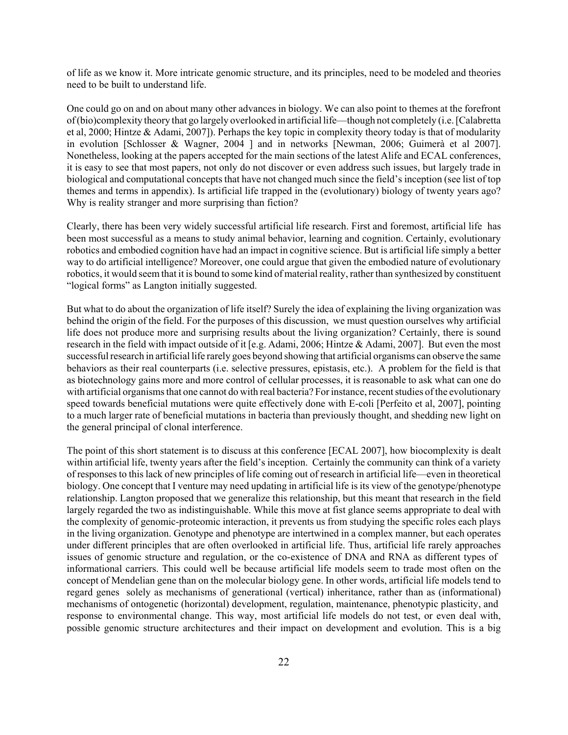of life as we know it. More intricate genomic structure, and its principles, need to be modeled and theories need to be built to understand life.

One could go on and on about many other advances in biology. We can also point to themes at the forefront of (bio)complexity theory that go largely overlooked in artificial life—though not completely (i.e. [Calabretta et al, 2000; Hintze & Adami, 2007]). Perhaps the key topic in complexity theory today is that of modularity in evolution [Schlosser & Wagner, 2004 ] and in networks [Newman, 2006; Guimerà et al 2007]. Nonetheless, looking at the papers accepted for the main sections of the latest Alife and ECAL conferences, it is easy to see that most papers, not only do not discover or even address such issues, but largely trade in biological and computational concepts that have not changed much since the field's inception (see list of top themes and terms in appendix). Is artificial life trapped in the (evolutionary) biology of twenty years ago? Why is reality stranger and more surprising than fiction?

Clearly, there has been very widely successful artificial life research. First and foremost, artificial life has been most successful as a means to study animal behavior, learning and cognition. Certainly, evolutionary robotics and embodied cognition have had an impact in cognitive science. But is artificial life simply a better way to do artificial intelligence? Moreover, one could argue that given the embodied nature of evolutionary robotics, it would seem that it is bound to some kind of material reality, rather than synthesized by constituent "logical forms" as Langton initially suggested.

But what to do about the organization of life itself? Surely the idea of explaining the living organization was behind the origin of the field. For the purposes of this discussion, we must question ourselves why artificial life does not produce more and surprising results about the living organization? Certainly, there is sound research in the field with impact outside of it [e.g. Adami, 2006; Hintze & Adami, 2007]. But even the most successful research in artificial life rarely goes beyond showing that artificial organisms can observe the same behaviors as their real counterparts (i.e. selective pressures, epistasis, etc.). A problem for the field is that as biotechnology gains more and more control of cellular processes, it is reasonable to ask what can one do with artificial organisms that one cannot do with real bacteria? For instance, recent studies of the evolutionary speed towards beneficial mutations were quite effectively done with E-coli [Perfeito et al, 2007], pointing to a much larger rate of beneficial mutations in bacteria than previously thought, and shedding new light on the general principal of clonal interference.

The point of this short statement is to discuss at this conference [ECAL 2007], how biocomplexity is dealt within artificial life, twenty years after the field's inception. Certainly the community can think of a variety of responses to this lack of new principles of life coming out of research in artificial life—even in theoretical biology. One concept that I venture may need updating in artificial life is its view of the genotype/phenotype relationship. Langton proposed that we generalize this relationship, but this meant that research in the field largely regarded the two as indistinguishable. While this move at fist glance seems appropriate to deal with the complexity of genomic-proteomic interaction, it prevents us from studying the specific roles each plays in the living organization. Genotype and phenotype are intertwined in a complex manner, but each operates under different principles that are often overlooked in artificial life. Thus, artificial life rarely approaches issues of genomic structure and regulation, or the co-existence of DNA and RNA as different types of informational carriers. This could well be because artificial life models seem to trade most often on the concept of Mendelian gene than on the molecular biology gene. In other words, artificial life models tend to regard genes solely as mechanisms of generational (vertical) inheritance, rather than as (informational) mechanisms of ontogenetic (horizontal) development, regulation, maintenance, phenotypic plasticity, and response to environmental change. This way, most artificial life models do not test, or even deal with, possible genomic structure architectures and their impact on development and evolution. This is a big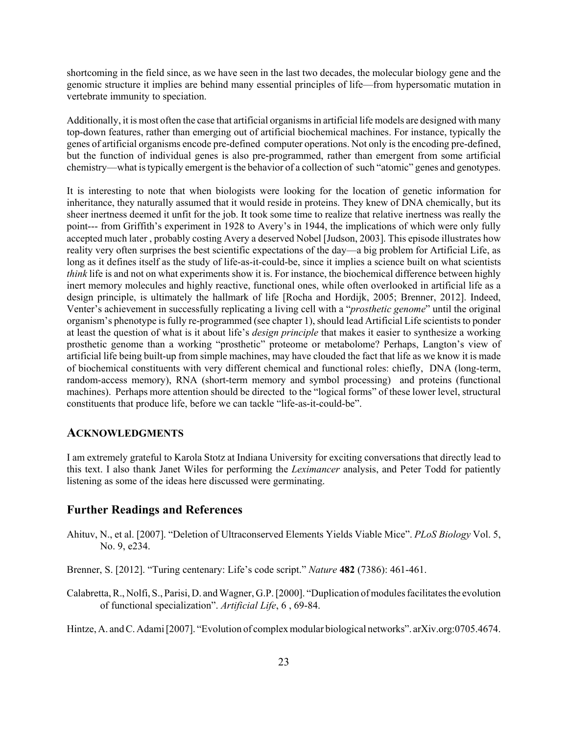shortcoming in the field since, as we have seen in the last two decades, the molecular biology gene and the genomic structure it implies are behind many essential principles of life—from hypersomatic mutation in vertebrate immunity to speciation.

Additionally, it is most often the case that artificial organisms in artificial life models are designed with many top-down features, rather than emerging out of artificial biochemical machines. For instance, typically the genes of artificial organisms encode pre-defined computer operations. Not only is the encoding pre-defined, but the function of individual genes is also pre-programmed, rather than emergent from some artificial chemistry—what is typically emergent is the behavior of a collection of such "atomic" genes and genotypes.

It is interesting to note that when biologists were looking for the location of genetic information for inheritance, they naturally assumed that it would reside in proteins. They knew of DNA chemically, but its sheer inertness deemed it unfit for the job. It took some time to realize that relative inertness was really the point--- from Griffith's experiment in 1928 to Avery's in 1944, the implications of which were only fully accepted much later , probably costing Avery a deserved Nobel [Judson, 2003]. This episode illustrates how reality very often surprises the best scientific expectations of the day—a big problem for Artificial Life, as long as it defines itself as the study of life-as-it-could-be, since it implies a science built on what scientists *think* life is and not on what experiments show it is. For instance, the biochemical difference between highly inert memory molecules and highly reactive, functional ones, while often overlooked in artificial life as a design principle, is ultimately the hallmark of life [Rocha and Hordijk, 2005; Brenner, 2012]. Indeed, Venter's achievement in successfully replicating a living cell with a "*prosthetic genome*" until the original organism's phenotype is fully re-programmed (see chapter 1), should lead Artificial Life scientists to ponder at least the question of what is it about life's *design principle* that makes it easier to synthesize a working prosthetic genome than a working "prosthetic" proteome or metabolome? Perhaps, Langton's view of artificial life being built-up from simple machines, may have clouded the fact that life as we know it is made of biochemical constituents with very different chemical and functional roles: chiefly, DNA (long-term, random-access memory), RNA (short-term memory and symbol processing) and proteins (functional machines). Perhaps more attention should be directed to the "logical forms" of these lower level, structural constituents that produce life, before we can tackle "life-as-it-could-be".

#### **ACKNOWLEDGMENTS**

I am extremely grateful to Karola Stotz at Indiana University for exciting conversations that directly lead to this text. I also thank Janet Wiles for performing the *Leximancer* analysis, and Peter Todd for patiently listening as some of the ideas here discussed were germinating.

#### **Further Readings and References**

Ahituv, N., et al. [2007]. "Deletion of Ultraconserved Elements Yields Viable Mice". *PLoS Biology* Vol. 5, No. 9, e234.

Brenner, S. [2012]. "Turing centenary: Life's code script." *Nature* **482** (7386): 461-461.

Calabretta, R., Nolfi, S., Parisi, D. and Wagner, G.P. [2000]. "Duplication of modules facilitates the evolution of functional specialization". *Artificial Life*, 6 , 69-84.

Hintze, A. and C. Adami [2007]. "Evolution of complex modular biological networks". arXiv.org:0705.4674.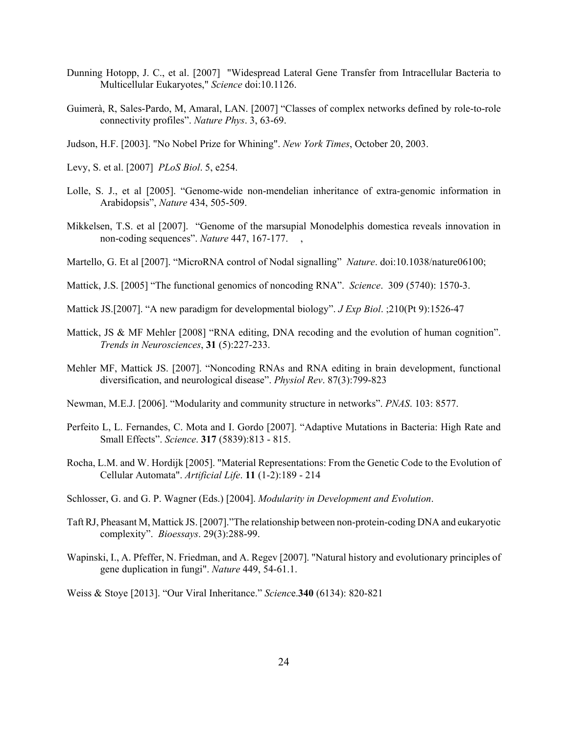- Dunning Hotopp, J. C., et al. [2007] "Widespread Lateral Gene Transfer from Intracellular Bacteria to Multicellular Eukaryotes," *Science* doi:10.1126.
- Guimerà, R, Sales-Pardo, M, Amaral, LAN. [2007] "Classes of complex networks defined by role-to-role connectivity profiles". *Nature Phys*. 3, 63-69.
- Judson, H.F. [2003]. "No Nobel Prize for Whining". *New York Times*, October 20, 2003.
- Levy, S. et al. [2007] *PLoS Biol*. 5, e254.
- Lolle, S. J., et al [2005]. "Genome-wide non-mendelian inheritance of extra-genomic information in Arabidopsis", *Nature* 434, 505-509.
- Mikkelsen, T.S. et al [2007]. "Genome of the marsupial Monodelphis domestica reveals innovation in non-coding sequences". *Nature* 447, 167-177. ,
- Martello, G. Et al [2007]. "MicroRNA control of Nodal signalling" *Nature*. doi:10.1038/nature06100;
- Mattick, J.S. [2005] "The functional genomics of noncoding RNA". *Science*. 309 (5740): 1570-3.
- Mattick JS.[2007]. "A new paradigm for developmental biology". *J Exp Biol*. ;210(Pt 9):1526-47
- Mattick, JS & MF Mehler [2008] "RNA editing, DNA recoding and the evolution of human cognition". *Trends in Neurosciences*, **31** (5):227-233.
- Mehler MF, Mattick JS. [2007]. "Noncoding RNAs and RNA editing in brain development, functional diversification, and neurological disease". *Physiol Rev*. 87(3):799-823
- Newman, M.E.J. [2006]. "Modularity and community structure in networks". *PNAS*. 103: 8577.
- .Perfeito L, L. Fernandes, C. Mota and I. Gordo [2007]. "Adaptive Mutations in Bacteria: High Rate and Small Effects". *Science*. **317** (5839):813 - 815.
- Rocha, L.M. and W. Hordijk [2005]. "Material Representations: From the Genetic Code to the Evolution of Cellular Automata". *Artificial Life*. **11** (1-2):189 - 214
- Schlosser, G. and G. P. Wagner (Eds.) [2004]. *Modularity in Development and Evolution*.
- Taft RJ, Pheasant M, Mattick JS. [2007]."The relationship between non-protein-coding DNA and eukaryotic complexity". *Bioessays*. 29(3):288-99.
- Wapinski, I., A. Pfeffer, N. Friedman, and A. Regev [2007]. "Natural history and evolutionary principles of gene duplication in fungi". *Nature* 449, 54-61.1.

Weiss & Stoye [2013]. "Our Viral Inheritance." *Scienc*e.**340** (6134): 820-821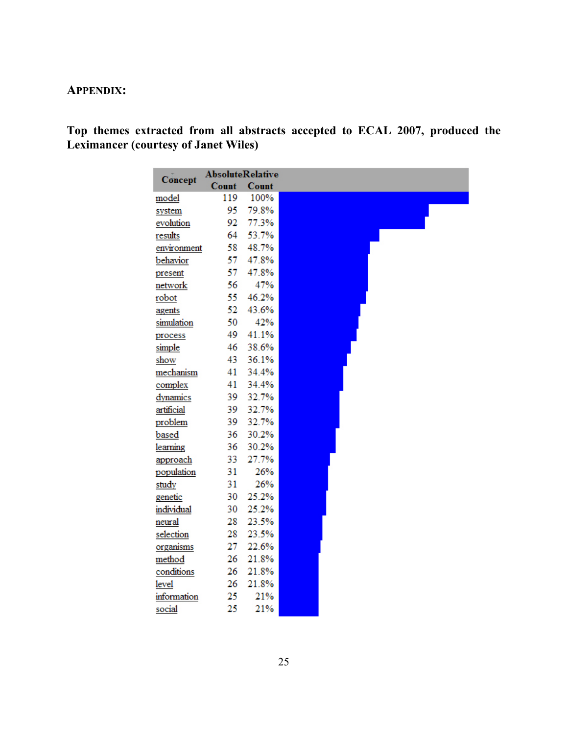# **APPENDIX:**

# **Top themes extracted from all abstracts accepted to ECAL 2007, produced the Leximancer (courtesy of Janet Wiles)**

| Concept     | <b>AbsoluteRelative</b> |       |
|-------------|-------------------------|-------|
|             | Count                   | Count |
| model       | 119                     | 100%  |
| system      | 95                      | 79.8% |
| evolution   | 92                      | 77.3% |
| results     | 64                      | 53.7% |
| environment | 58                      | 48.7% |
| behavior    | 57                      | 47.8% |
| present     | 57                      | 47.8% |
| network     | 56                      | 47%   |
| robot       | 55                      | 46.2% |
| agents      | 52                      | 43.6% |
| simulation  | 50                      | 42%   |
| process     | 49                      | 41.1% |
| simple      | 46                      | 38.6% |
| show        | 43                      | 36.1% |
| mechanism   | 41                      | 34.4% |
| complex     | 41                      | 34.4% |
| dynamics    | 39                      | 32.7% |
| artificial  | 39                      | 32.7% |
| problem     | 39                      | 32.7% |
| based       | 36                      | 30.2% |
| learning    | 36                      | 30.2% |
| approach    | 33                      | 27.7% |
| population  | 31                      | 26%   |
| study       | 31                      | 26%   |
| genetic     | 30                      | 25.2% |
| individual  | 30                      | 25.2% |
| neural      | 28                      | 23.5% |
| selection   | 28                      | 23.5% |
| organisms   | 27                      | 22.6% |
| method      | 26                      | 21.8% |
| conditions  | 26                      | 21.8% |
| level       | 26                      | 21.8% |
| information | 25                      | 21%   |
| social      | 25                      | 21%   |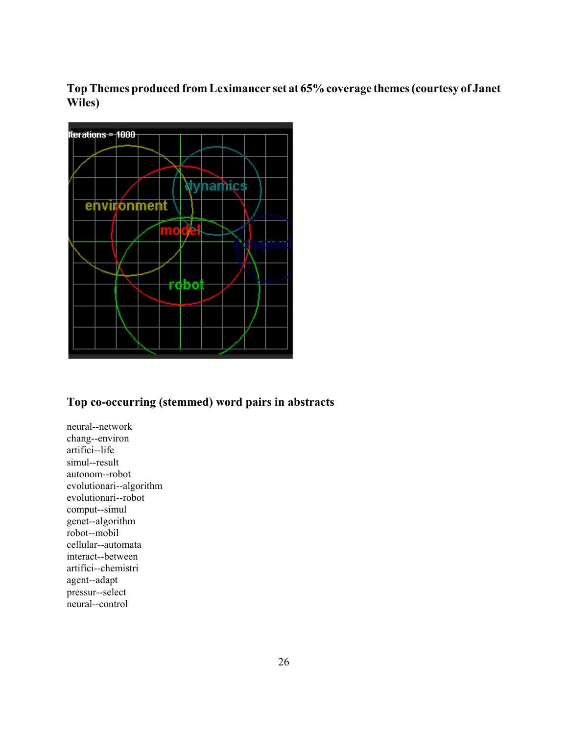**Top Themes produced from Leximancer set at 65% coverage themes (courtesy of Janet Wiles)**



### **Top co-occurring (stemmed) word pairs in abstracts**

neural--network chang--environ artifici--life simul--result autonom--robot evolutionari--algorithm evolutionari--robot comput--simul genet--algorithm robot--mobil cellular--automata interact--between artifici--chemistri agent--adapt pressur--select neural--control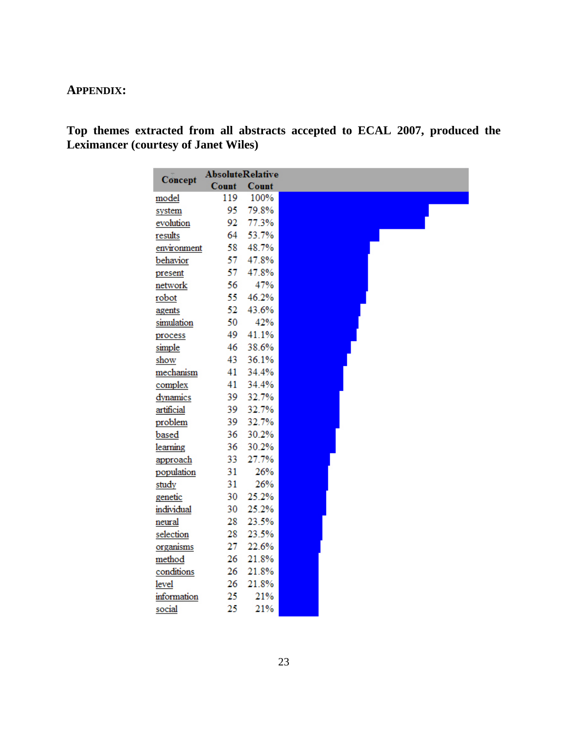## **APPENDIX:**

**Top themes extracted from all abstracts accepted to ECAL 2007, produced the Leximancer (courtesy of Janet Wiles)** 

|              | <b>AbsoluteRelative</b> |              |
|--------------|-------------------------|--------------|
| Concept      | Count                   | <b>Count</b> |
| model        | 119                     | 100%         |
| system       | 95                      | 79.8%        |
| evolution    | 92                      | 77.3%        |
| results      | 64                      | 53.7%        |
| environment  | 58                      | 48.7%        |
| behavior     | 57                      | 47.8%        |
| present      | 57                      | 47.8%        |
| network      | 56                      | 47%          |
| robot        | 55                      | 46.2%        |
| agents       | 52                      | 43.6%        |
| simulation   | 50                      | 42%          |
| process      | 49                      | 41.1%        |
| simple       | 46                      | 38.6%        |
| show         | 43                      | 36.1%        |
| mechanism    | 41                      | 34.4%        |
| complex      | 41                      | 34.4%        |
| dynamics     | 39                      | 32.7%        |
| artificial   | 39                      | 32.7%        |
| problem      | 39                      | 32.7%        |
| based        | 36                      | 30.2%        |
| learning     | 36                      | 30.2%        |
| approach     | 33                      | 27.7%        |
| population   | 31                      | 26%          |
| study        | 31                      | 26%          |
| genetic      | 30                      | 25.2%        |
| individual   | 30                      | 25.2%        |
| neural       | 28                      | 23.5%        |
| selection    | 28                      | 23.5%        |
| organisms    | 27                      | 22.6%        |
| method       | 26                      | 21.8%        |
| conditions   | 26                      | 21.8%        |
| <b>level</b> | 26                      | 21.8%        |
| information  | 25                      | 21%          |
| social       | 25                      | 21%          |